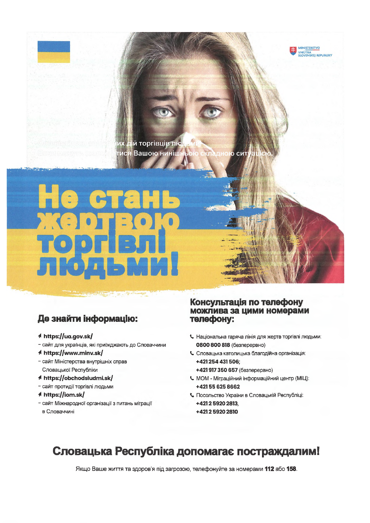

# Де знайти інформацію:

### 1 https://ua.gov.sk/

- сайт для українців, які приїжджають до Словаччини
- 4 https://www.minv.sk/
- сайт Міністерства внутрішніх справ Словацької Республіки
- A https://obchodsludmi.sk/
- сайт протидії торгівлі людьми
- **≮ https://iom.sk/**
- сайт Міжнародної організації з питань міграції в Словаччині

## Консультація по телефону можлива за цими номерами телефону:

**MINISTERSTVO VNÚTRA**<br>SLOVENSKEJ REPUBLIKY

- Національна гаряча лінія для жертв торгівлі людьми: 0800 800 818 (безперервно)
- С Словацька католицька благодійна організація: +421254431506:

+421 917 350 657 (безперервно)

- МОМ Міграційний інформаційний центр (МІЦ): +421556258662
- Посольство України в Словацькій Республіці: +421259202813, +421259202810

# Словацька Республіка допомагає постраждалим!

Якщо Ваше життя та здоров'я під загрозою, телефонуйте за номерами 112 або 158.